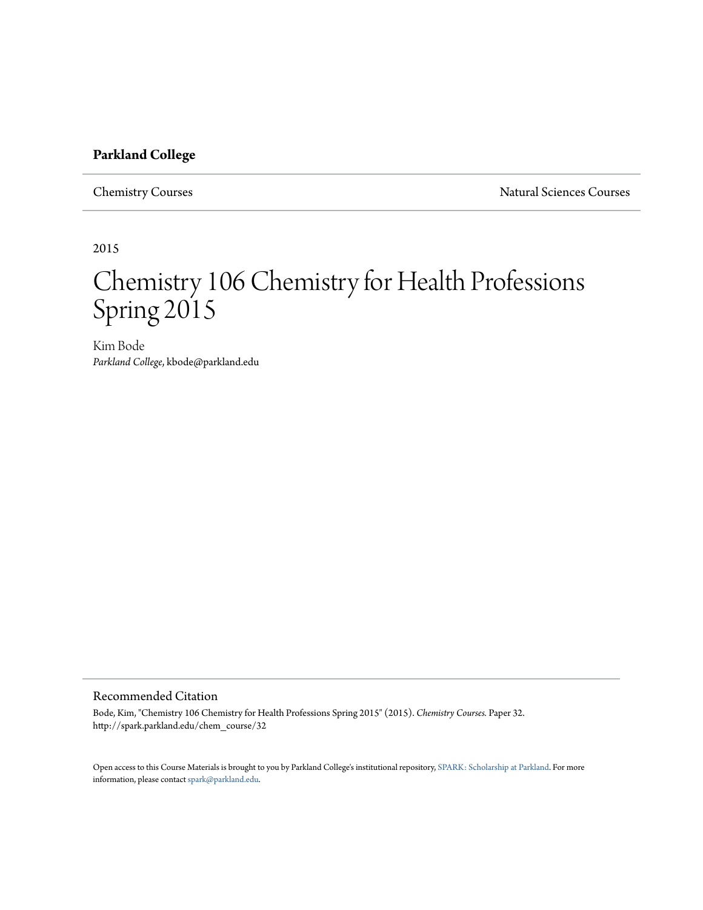## **Parkland College**

Chemistry Courses **Natural Sciences** Courses Natural Sciences Courses

2015

# Chemistry 106 Chemistry for Health Professions Spring 2015

Kim Bode *Parkland College*, kbode@parkland.edu

## Recommended Citation

Bode, Kim, "Chemistry 106 Chemistry for Health Professions Spring 2015" (2015). *Chemistry Courses.* Paper 32. http://spark.parkland.edu/chem\_course/32

Open access to this Course Materials is brought to you by Parkland College's institutional repository, [SPARK: Scholarship at Parkland](http://spark.parkland.edu/). For more information, please contact [spark@parkland.edu](mailto:spark@parkland.edu).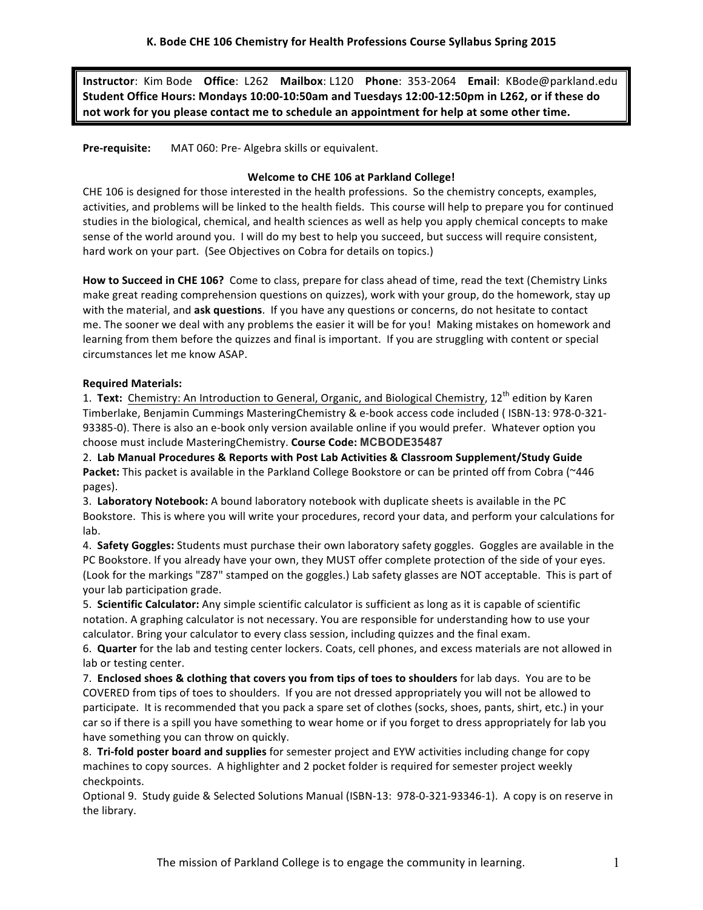**Instructor**: Kim Bode **Office**: L262 Mailbox: L120 Phone: 353-2064 Email: KBode@parkland.edu **Student Office Hours: Mondays 10:00-10:50am and Tuesdays 12:00-12:50pm in L262, or if these do**  not work for you please contact me to schedule an appointment for help at some other time.

**Pre-requisite:** MAT 060: Pre- Algebra skills or equivalent.

#### **Welcome to CHE 106 at Parkland College!**

CHE 106 is designed for those interested in the health professions. So the chemistry concepts, examples, activities, and problems will be linked to the health fields. This course will help to prepare you for continued studies in the biological, chemical, and health sciences as well as help you apply chemical concepts to make sense of the world around you. I will do my best to help you succeed, but success will require consistent, hard work on your part. (See Objectives on Cobra for details on topics.)

How to Succeed in CHE 106? Come to class, prepare for class ahead of time, read the text (Chemistry Links make great reading comprehension questions on quizzes), work with your group, do the homework, stay up with the material, and ask questions. If you have any questions or concerns, do not hesitate to contact me. The sooner we deal with any problems the easier it will be for you! Making mistakes on homework and learning from them before the quizzes and final is important. If you are struggling with content or special circumstances let me know ASAP.

#### **Required Materials:**

1. Text: Chemistry: An Introduction to General, Organic, and Biological Chemistry, 12<sup>th</sup> edition by Karen Timberlake, Benjamin Cummings MasteringChemistry & e-book access code included (ISBN-13: 978-0-321-93385-0). There is also an e-book only version available online if you would prefer. Whatever option you choose must include MasteringChemistry. Course Code: MCBODE35487

2. **Lab Manual Procedures & Reports with Post Lab Activities & Classroom Supplement/Study Guide** Packet: This packet is available in the Parkland College Bookstore or can be printed off from Cobra (~446 pages). 

3. Laboratory Notebook: A bound laboratory notebook with duplicate sheets is available in the PC Bookstore. This is where you will write your procedures, record your data, and perform your calculations for lab.

4. Safety Goggles: Students must purchase their own laboratory safety goggles. Goggles are available in the PC Bookstore. If you already have your own, they MUST offer complete protection of the side of your eyes. (Look for the markings "Z87" stamped on the goggles.) Lab safety glasses are NOT acceptable. This is part of your lab participation grade.

5. **Scientific Calculator:** Any simple scientific calculator is sufficient as long as it is capable of scientific notation. A graphing calculator is not necessary. You are responsible for understanding how to use your calculator. Bring your calculator to every class session, including quizzes and the final exam.

6. **Quarter** for the lab and testing center lockers. Coats, cell phones, and excess materials are not allowed in lab or testing center.

7. **Enclosed shoes & clothing that covers you from tips of toes to shoulders** for lab days. You are to be COVERED from tips of toes to shoulders. If you are not dressed appropriately you will not be allowed to participate. It is recommended that you pack a spare set of clothes (socks, shoes, pants, shirt, etc.) in your car so if there is a spill you have something to wear home or if you forget to dress appropriately for lab you have something you can throw on quickly.

8. Tri-fold poster board and supplies for semester project and EYW activities including change for copy machines to copy sources. A highlighter and 2 pocket folder is required for semester project weekly checkpoints. 

Optional 9. Study guide & Selected Solutions Manual (ISBN-13: 978-0-321-93346-1). A copy is on reserve in the library.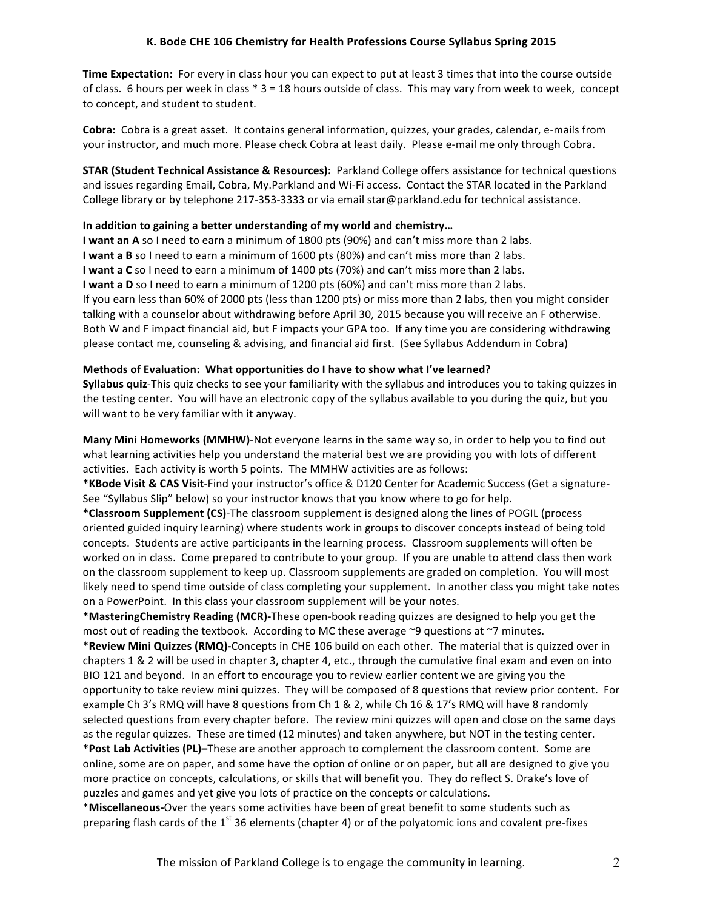Time Expectation: For every in class hour you can expect to put at least 3 times that into the course outside of class. 6 hours per week in class \* 3 = 18 hours outside of class. This may vary from week to week, concept to concept, and student to student.

**Cobra:** Cobra is a great asset. It contains general information, quizzes, your grades, calendar, e-mails from your instructor, and much more. Please check Cobra at least daily. Please e-mail me only through Cobra.

**STAR (Student Technical Assistance & Resources):** Parkland College offers assistance for technical questions and issues regarding Email, Cobra, My.Parkland and Wi-Fi access. Contact the STAR located in the Parkland College library or by telephone 217-353-3333 or via email star@parkland.edu for technical assistance.

#### In addition to gaining a better understanding of my world and chemistry...

**I** want an A so I need to earn a minimum of 1800 pts (90%) and can't miss more than 2 labs. **I** want a B so I need to earn a minimum of 1600 pts (80%) and can't miss more than 2 labs. **I** want a C so I need to earn a minimum of 1400 pts (70%) and can't miss more than 2 labs. **I** want a D so I need to earn a minimum of 1200 pts (60%) and can't miss more than 2 labs. If you earn less than 60% of 2000 pts (less than 1200 pts) or miss more than 2 labs, then you might consider talking with a counselor about withdrawing before April 30, 2015 because you will receive an F otherwise. Both W and F impact financial aid, but F impacts your GPA too. If any time you are considering withdrawing please contact me, counseling & advising, and financial aid first. (See Syllabus Addendum in Cobra)

#### **Methods of Evaluation: What opportunities do I have to show what I've learned?**

**Syllabus quiz**-This quiz checks to see your familiarity with the syllabus and introduces you to taking quizzes in the testing center. You will have an electronic copy of the syllabus available to you during the quiz, but you will want to be very familiar with it anyway.

**Many Mini Homeworks (MMHW)-Not everyone learns in the same way so, in order to help you to find out** what learning activities help you understand the material best we are providing you with lots of different activities. Each activity is worth 5 points. The MMHW activities are as follows:

\*KBode Visit & CAS Visit-Find your instructor's office & D120 Center for Academic Success (Get a signature-See "Syllabus Slip" below) so your instructor knows that you know where to go for help.

\*Classroom Supplement (CS)-The classroom supplement is designed along the lines of POGIL (process oriented guided inquiry learning) where students work in groups to discover concepts instead of being told concepts. Students are active participants in the learning process. Classroom supplements will often be worked on in class. Come prepared to contribute to your group. If you are unable to attend class then work on the classroom supplement to keep up. Classroom supplements are graded on completion. You will most likely need to spend time outside of class completing your supplement. In another class you might take notes on a PowerPoint. In this class your classroom supplement will be your notes.

\*MasteringChemistry Reading (MCR)-These open-book reading quizzes are designed to help you get the most out of reading the textbook. According to MC these average  $\sim$ 9 questions at  $\sim$ 7 minutes.

\*Review Mini Quizzes (RMQ)-Concepts in CHE 106 build on each other. The material that is quizzed over in chapters 1 & 2 will be used in chapter 3, chapter 4, etc., through the cumulative final exam and even on into BIO 121 and beyond. In an effort to encourage you to review earlier content we are giving you the opportunity to take review mini quizzes. They will be composed of 8 questions that review prior content. For example Ch 3's RMQ will have 8 questions from Ch 1 & 2, while Ch 16 & 17's RMQ will have 8 randomly selected questions from every chapter before. The review mini quizzes will open and close on the same days as the regular quizzes. These are timed (12 minutes) and taken anywhere, but NOT in the testing center.

\*Post Lab Activities (PL)-These are another approach to complement the classroom content. Some are online, some are on paper, and some have the option of online or on paper, but all are designed to give you more practice on concepts, calculations, or skills that will benefit you. They do reflect S. Drake's love of puzzles and games and yet give you lots of practice on the concepts or calculations.

\*Miscellaneous-Over the years some activities have been of great benefit to some students such as preparing flash cards of the  $1<sup>st</sup>$  36 elements (chapter 4) or of the polyatomic ions and covalent pre-fixes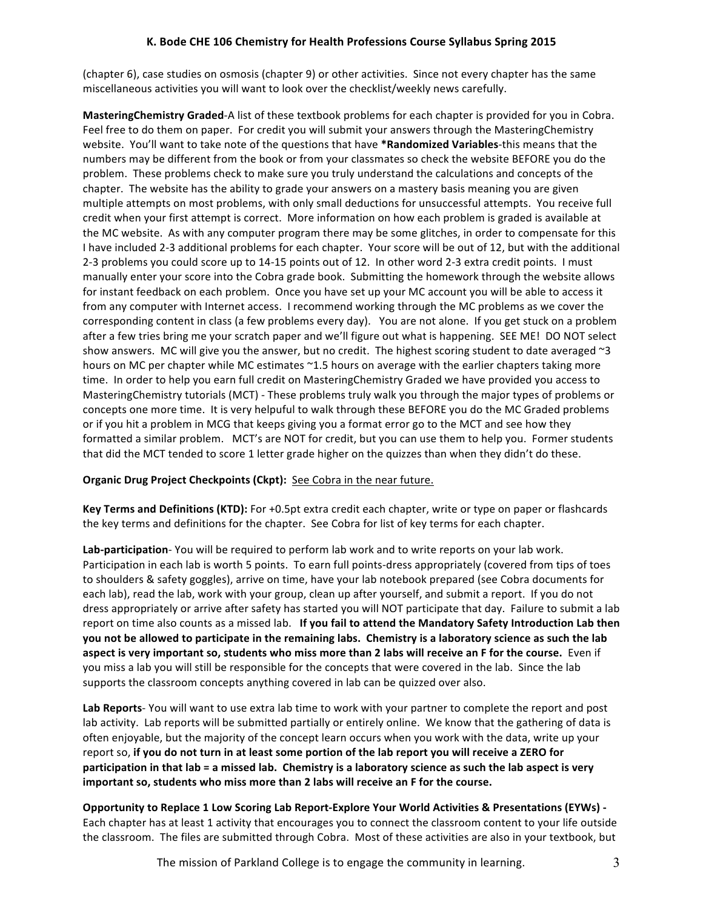(chapter 6), case studies on osmosis (chapter 9) or other activities. Since not every chapter has the same miscellaneous activities you will want to look over the checklist/weekly news carefully.

**MasteringChemistry Graded**-A list of these textbook problems for each chapter is provided for you in Cobra. Feel free to do them on paper. For credit you will submit your answers through the MasteringChemistry website. You'll want to take note of the questions that have \*Randomized Variables-this means that the numbers may be different from the book or from your classmates so check the website BEFORE you do the problem. These problems check to make sure you truly understand the calculations and concepts of the chapter. The website has the ability to grade your answers on a mastery basis meaning you are given multiple attempts on most problems, with only small deductions for unsuccessful attempts. You receive full credit when your first attempt is correct. More information on how each problem is graded is available at the MC website. As with any computer program there may be some glitches, in order to compensate for this I have included 2-3 additional problems for each chapter. Your score will be out of 12, but with the additional 2-3 problems you could score up to 14-15 points out of 12. In other word 2-3 extra credit points. I must manually enter your score into the Cobra grade book. Submitting the homework through the website allows for instant feedback on each problem. Once you have set up your MC account you will be able to access it from any computer with Internet access. I recommend working through the MC problems as we cover the corresponding content in class (a few problems every day). You are not alone. If you get stuck on a problem after a few tries bring me your scratch paper and we'll figure out what is happening. SEE ME! DO NOT select show answers. MC will give you the answer, but no credit. The highest scoring student to date averaged  $\sim$ 3 hours on MC per chapter while MC estimates ~1.5 hours on average with the earlier chapters taking more time. In order to help you earn full credit on MasteringChemistry Graded we have provided you access to MasteringChemistry tutorials (MCT) - These problems truly walk you through the major types of problems or concepts one more time. It is very helpuful to walk through these BEFORE you do the MC Graded problems or if you hit a problem in MCG that keeps giving you a format error go to the MCT and see how they formatted a similar problem. MCT's are NOT for credit, but you can use them to help you. Former students that did the MCT tended to score 1 letter grade higher on the quizzes than when they didn't do these.

#### **Organic Drug Project Checkpoints (Ckpt):** See Cobra in the near future.

**Key Terms and Definitions (KTD):** For +0.5pt extra credit each chapter, write or type on paper or flashcards the key terms and definitions for the chapter. See Cobra for list of key terms for each chapter.

Lab-participation- You will be required to perform lab work and to write reports on your lab work. Participation in each lab is worth 5 points. To earn full points-dress appropriately (covered from tips of toes to shoulders & safety goggles), arrive on time, have your lab notebook prepared (see Cobra documents for each lab), read the lab, work with your group, clean up after yourself, and submit a report. If you do not dress appropriately or arrive after safety has started you will NOT participate that day. Failure to submit a lab report on time also counts as a missed lab. If you fail to attend the Mandatory Safety Introduction Lab then you not be allowed to participate in the remaining labs. Chemistry is a laboratory science as such the lab aspect is very important so, students who miss more than 2 labs will receive an F for the course. Even if you miss a lab you will still be responsible for the concepts that were covered in the lab. Since the lab supports the classroom concepts anything covered in lab can be quizzed over also.

Lab Reports- You will want to use extra lab time to work with your partner to complete the report and post lab activity. Lab reports will be submitted partially or entirely online. We know that the gathering of data is often enjoyable, but the majority of the concept learn occurs when you work with the data, write up your report so, if you do not turn in at least some portion of the lab report you will receive a ZERO for **participation in that lab = a missed lab. Chemistry is a laboratory science as such the lab aspect is very** important so, students who miss more than 2 labs will receive an F for the course.

**Opportunity to Replace 1 Low Scoring Lab Report-Explore Your World Activities & Presentations (EYWs) -**Each chapter has at least 1 activity that encourages you to connect the classroom content to your life outside the classroom. The files are submitted through Cobra. Most of these activities are also in your textbook, but

The mission of Parkland College is to engage the community in learning.  $\frac{3}{2}$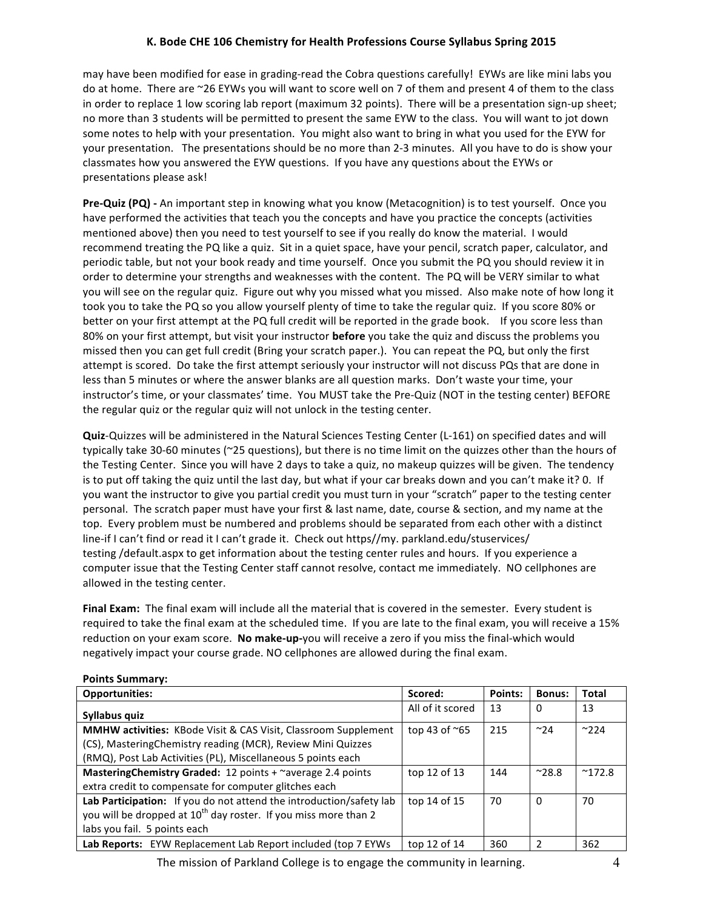may have been modified for ease in grading-read the Cobra questions carefully! EYWs are like mini labs you do at home. There are ~26 EYWs you will want to score well on 7 of them and present 4 of them to the class in order to replace 1 low scoring lab report (maximum 32 points). There will be a presentation sign-up sheet; no more than 3 students will be permitted to present the same EYW to the class. You will want to jot down some notes to help with your presentation. You might also want to bring in what you used for the EYW for your presentation. The presentations should be no more than 2-3 minutes. All you have to do is show your classmates how you answered the EYW questions. If you have any questions about the EYWs or presentations please ask!

**Pre-Quiz (PQ)** - An important step in knowing what you know (Metacognition) is to test yourself. Once you have performed the activities that teach you the concepts and have you practice the concepts (activities mentioned above) then you need to test yourself to see if you really do know the material. I would recommend treating the PQ like a quiz. Sit in a quiet space, have your pencil, scratch paper, calculator, and periodic table, but not your book ready and time yourself. Once you submit the PQ you should review it in order to determine your strengths and weaknesses with the content. The PQ will be VERY similar to what you will see on the regular quiz. Figure out why you missed what you missed. Also make note of how long it took you to take the PQ so you allow yourself plenty of time to take the regular quiz. If you score 80% or better on your first attempt at the PQ full credit will be reported in the grade book. If you score less than 80% on your first attempt, but visit your instructor **before** you take the quiz and discuss the problems you missed then you can get full credit (Bring your scratch paper.). You can repeat the PQ, but only the first attempt is scored. Do take the first attempt seriously your instructor will not discuss PQs that are done in less than 5 minutes or where the answer blanks are all question marks. Don't waste your time, your instructor's time, or your classmates' time. You MUST take the Pre-Quiz (NOT in the testing center) BEFORE the regular quiz or the regular quiz will not unlock in the testing center.

**Quiz**-Quizzes will be administered in the Natural Sciences Testing Center (L-161) on specified dates and will typically take 30-60 minutes (~25 questions), but there is no time limit on the quizzes other than the hours of the Testing Center. Since you will have 2 days to take a quiz, no makeup quizzes will be given. The tendency is to put off taking the quiz until the last day, but what if your car breaks down and you can't make it? 0. If you want the instructor to give you partial credit you must turn in your "scratch" paper to the testing center personal. The scratch paper must have your first & last name, date, course & section, and my name at the top. Every problem must be numbered and problems should be separated from each other with a distinct line-if I can't find or read it I can't grade it. Check out https//my. parkland.edu/stuservices/ testing /default.aspx to get information about the testing center rules and hours. If you experience a computer issue that the Testing Center staff cannot resolve, contact me immediately. NO cellphones are allowed in the testing center.

**Final Exam:** The final exam will include all the material that is covered in the semester. Every student is required to take the final exam at the scheduled time. If you are late to the final exam, you will receive a 15% reduction on your exam score. No make-up-you will receive a zero if you miss the final-which would negatively impact your course grade. NO cellphones are allowed during the final exam.

| <b>Opportunities:</b>                                                       | Scored:                | Points: | <b>Bonus:</b> | <b>Total</b>   |  |  |  |
|-----------------------------------------------------------------------------|------------------------|---------|---------------|----------------|--|--|--|
| Syllabus quiz                                                               | All of it scored       | 13      | 0             | 13             |  |  |  |
| <b>MMHW activities:</b> KBode Visit & CAS Visit, Classroom Supplement       | top 43 of $\approx$ 65 | 215     | $~^{\sim}$ 24 | $^{\sim}$ 224  |  |  |  |
| (CS), MasteringChemistry reading (MCR), Review Mini Quizzes                 |                        |         |               |                |  |  |  |
| (RMQ), Post Lab Activities (PL), Miscellaneous 5 points each                |                        |         |               |                |  |  |  |
| MasteringChemistry Graded: 12 points + ~average 2.4 points                  | top 12 of 13           | 144     | $^{\sim}28.8$ | $^{\sim}172.8$ |  |  |  |
| extra credit to compensate for computer glitches each                       |                        |         |               |                |  |  |  |
| Lab Participation: If you do not attend the introduction/safety lab         | top 14 of 15           | 70      | 0             | 70             |  |  |  |
| you will be dropped at 10 <sup>th</sup> day roster. If you miss more than 2 |                        |         |               |                |  |  |  |
| labs you fail. 5 points each                                                |                        |         |               |                |  |  |  |
| Lab Reports: EYW Replacement Lab Report included (top 7 EYWs                | top 12 of 14           | 360     |               | 362            |  |  |  |

#### **Points Summary:**

The mission of Parkland College is to engage the community in learning. 4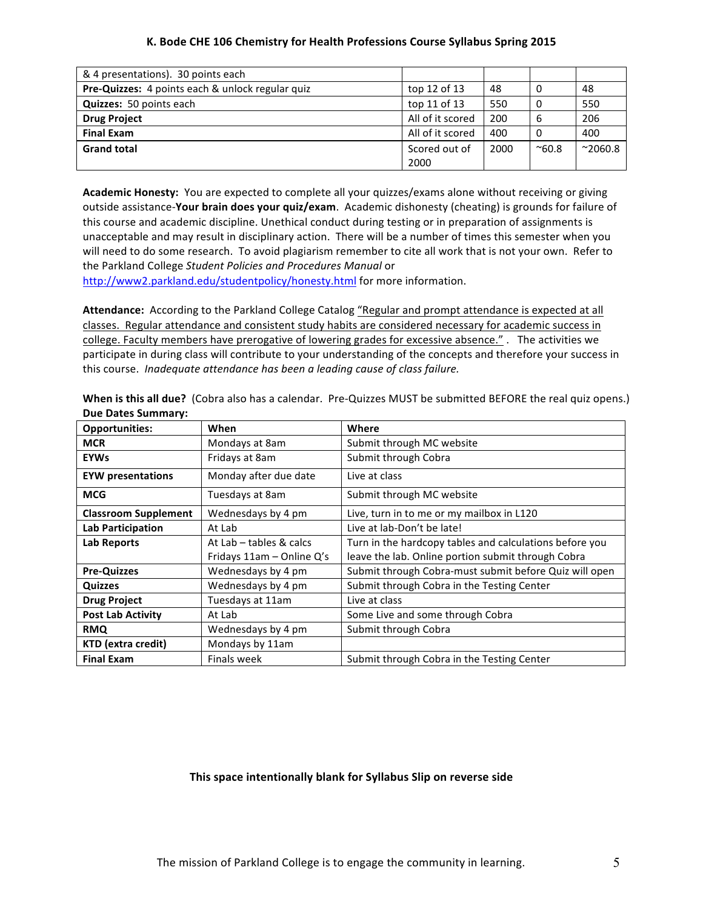| & 4 presentations). 30 points each               |                       |      |               |                 |
|--------------------------------------------------|-----------------------|------|---------------|-----------------|
| Pre-Quizzes: 4 points each & unlock regular quiz | top 12 of 13          | 48   |               | 48              |
| <b>Quizzes:</b> 50 points each                   | top 11 of 13          | 550  |               | 550             |
| <b>Drug Project</b>                              | All of it scored      | 200  | 6             | 206             |
| <b>Final Exam</b>                                | All of it scored      | 400  |               | 400             |
| <b>Grand total</b>                               | Scored out of<br>2000 | 2000 | $^{\sim}60.8$ | $^{\sim}2060.8$ |

Academic Honesty: You are expected to complete all your quizzes/exams alone without receiving or giving outside assistance-Your brain does your quiz/exam. Academic dishonesty (cheating) is grounds for failure of this course and academic discipline. Unethical conduct during testing or in preparation of assignments is unacceptable and may result in disciplinary action. There will be a number of times this semester when you will need to do some research. To avoid plagiarism remember to cite all work that is not your own. Refer to the Parkland College Student Policies and Procedures Manual or

http://www2.parkland.edu/studentpolicy/honesty.html for more information.

Attendance: According to the Parkland College Catalog "Regular and prompt attendance is expected at all classes. Regular attendance and consistent study habits are considered necessary for academic success in college. Faculty members have prerogative of lowering grades for excessive absence." . The activities we participate in during class will contribute to your understanding of the concepts and therefore your success in this course. *Inadequate attendance has been a leading cause of class failure.* 

| <b>Opportunities:</b>       | When                      | Where                                                   |
|-----------------------------|---------------------------|---------------------------------------------------------|
| <b>MCR</b>                  | Mondays at 8am            | Submit through MC website                               |
| <b>EYWs</b>                 | Fridays at 8am            | Submit through Cobra                                    |
| <b>EYW</b> presentations    | Monday after due date     | Live at class                                           |
| <b>MCG</b>                  | Tuesdays at 8am           | Submit through MC website                               |
| <b>Classroom Supplement</b> | Wednesdays by 4 pm        | Live, turn in to me or my mailbox in L120               |
| <b>Lab Participation</b>    | At Lab                    | Live at lab-Don't be late!                              |
| Lab Reports                 | At Lab - tables & calcs   | Turn in the hardcopy tables and calculations before you |
|                             | Fridays 11am - Online Q's | leave the lab. Online portion submit through Cobra      |
| <b>Pre-Quizzes</b>          | Wednesdays by 4 pm        | Submit through Cobra-must submit before Quiz will open  |
| <b>Quizzes</b>              | Wednesdays by 4 pm        | Submit through Cobra in the Testing Center              |
| <b>Drug Project</b>         | Tuesdays at 11am          | Live at class                                           |
| <b>Post Lab Activity</b>    | At Lab                    | Some Live and some through Cobra                        |
| <b>RMQ</b>                  | Wednesdays by 4 pm        | Submit through Cobra                                    |
| <b>KTD</b> (extra credit)   | Mondays by 11am           |                                                         |
| <b>Final Exam</b>           | Finals week               | Submit through Cobra in the Testing Center              |

When is this all due? (Cobra also has a calendar. Pre-Quizzes MUST be submitted BEFORE the real quiz opens.) **Due Dates Summary:**

#### This space intentionally blank for Syllabus Slip on reverse side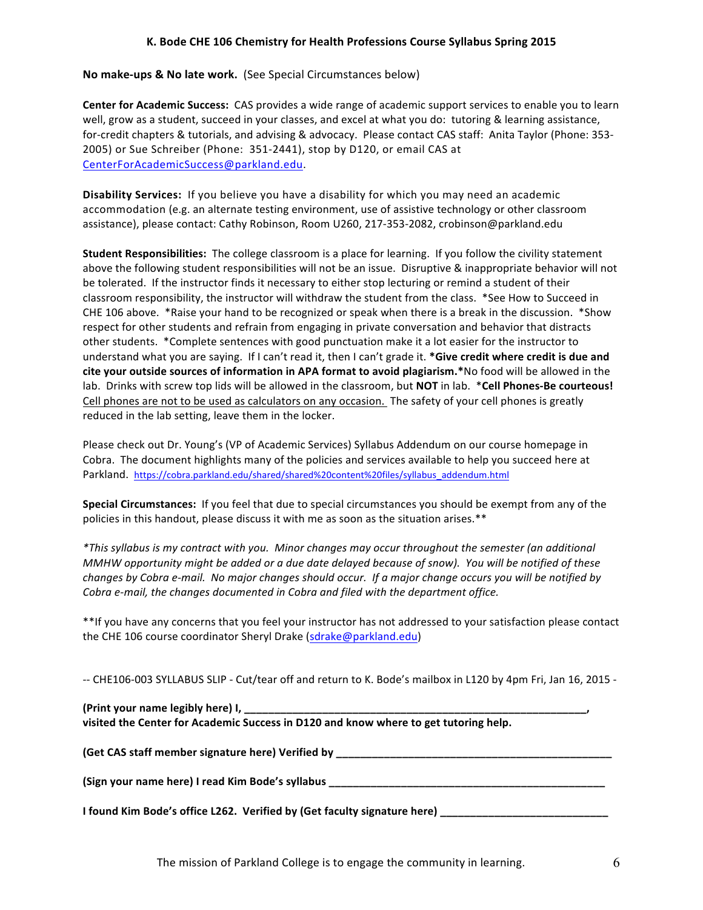No make-ups & No late work. (See Special Circumstances below)

**Center for Academic Success:** CAS provides a wide range of academic support services to enable you to learn well, grow as a student, succeed in your classes, and excel at what you do: tutoring & learning assistance, for-credit chapters & tutorials, and advising & advocacy. Please contact CAS staff: Anita Taylor (Phone: 353-2005) or Sue Schreiber (Phone: 351-2441), stop by D120, or email CAS at CenterForAcademicSuccess@parkland.edu.

**Disability Services:** If you believe you have a disability for which you may need an academic accommodation (e.g. an alternate testing environment, use of assistive technology or other classroom assistance), please contact: Cathy Robinson, Room U260, 217-353-2082, crobinson@parkland.edu

**Student Responsibilities:** The college classroom is a place for learning. If you follow the civility statement above the following student responsibilities will not be an issue. Disruptive & inappropriate behavior will not be tolerated. If the instructor finds it necessary to either stop lecturing or remind a student of their classroom responsibility, the instructor will withdraw the student from the class. \*See How to Succeed in CHE 106 above. \* Raise your hand to be recognized or speak when there is a break in the discussion. \* Show respect for other students and refrain from engaging in private conversation and behavior that distracts other students. \*Complete sentences with good punctuation make it a lot easier for the instructor to understand what you are saying. If I can't read it, then I can't grade it. \*Give credit where credit is due and **cite your outside sources of information in APA format to avoid plagiarism.**\*No food will be allowed in the lab. Drinks with screw top lids will be allowed in the classroom, but **NOT** in lab. *\**Cell Phones-Be courteous! Cell phones are not to be used as calculators on any occasion. The safety of your cell phones is greatly reduced in the lab setting, leave them in the locker.

Please check out Dr. Young's (VP of Academic Services) Syllabus Addendum on our course homepage in Cobra. The document highlights many of the policies and services available to help you succeed here at Parkland. https://cobra.parkland.edu/shared/shared%20content%20files/syllabus\_addendum.html

**Special Circumstances:** If you feel that due to special circumstances you should be exempt from any of the policies in this handout, please discuss it with me as soon as the situation arises.\*\*

*\*This syllabus is my contract with you. Minor changes may occur throughout the semester (an additional MMHW* opportunity might be added or a due date delayed because of snow). You will be notified of these *changes by Cobra e-mail.* No major changes should occur. If a major change occurs you will be notified by *Cobra e-mail, the changes documented in Cobra and filed with the department office.* 

\*\*If you have any concerns that you feel your instructor has not addressed to your satisfaction please contact the CHE 106 course coordinator Sheryl Drake (sdrake@parkland.edu)

-- CHE106-003 SYLLABUS SLIP - Cut/tear off and return to K. Bode's mailbox in L120 by 4pm Fri, Jan 16, 2015 -

| (Print your name legibly here) I, ____                                               |  |
|--------------------------------------------------------------------------------------|--|
| visited the Center for Academic Success in D120 and know where to get tutoring help. |  |

**(Get CAS staff member signature here) Verified by \_\_\_\_\_\_\_\_\_\_\_\_\_\_\_\_\_\_\_\_\_\_\_\_\_\_\_\_\_\_\_\_\_\_\_\_\_\_\_\_\_\_\_\_\_\_**

**(Sign your name here) I read Kim Bode's syllabus and all contains the contact of the contact of the contact of the contact of the contact of the contact of the contact of the contact of the contact of the contact of the c** 

**I** found Kim Bode's office L262. Verified by (Get faculty signature here) \_\_\_\_\_\_\_\_\_\_\_\_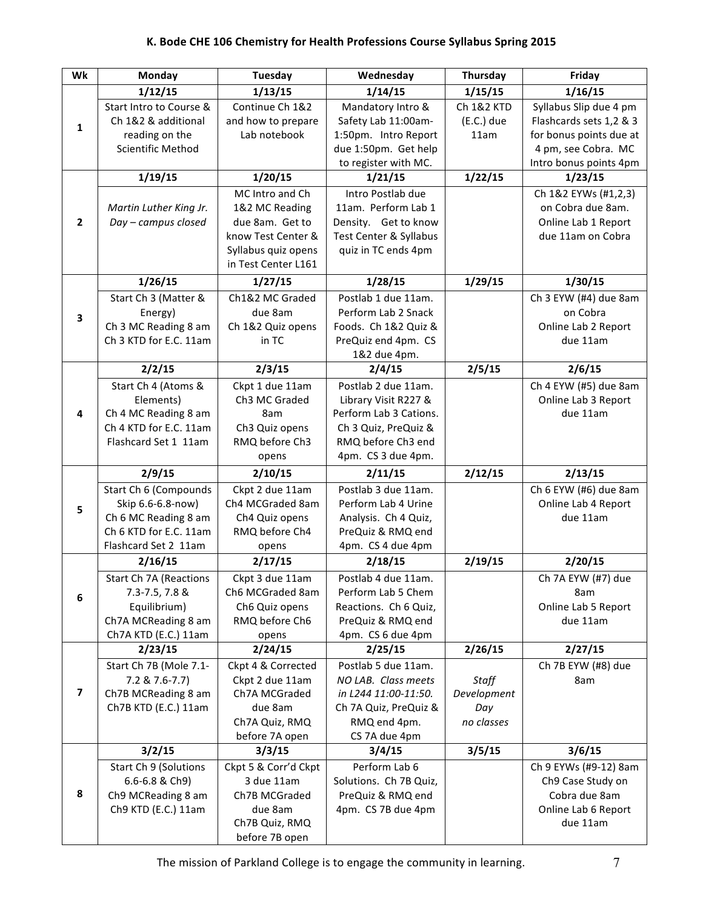| Wk                      | Monday                                                                                                               | Tuesday                                                                                                                  | Wednesday                                                                                                                                 | <b>Thursday</b>                           | Friday                                                                                                   |
|-------------------------|----------------------------------------------------------------------------------------------------------------------|--------------------------------------------------------------------------------------------------------------------------|-------------------------------------------------------------------------------------------------------------------------------------------|-------------------------------------------|----------------------------------------------------------------------------------------------------------|
|                         | 1/12/15                                                                                                              | 1/13/15                                                                                                                  | 1/14/15                                                                                                                                   | 1/15/15                                   | 1/16/15                                                                                                  |
| $\mathbf{1}$            | Start Intro to Course &<br>Ch 1&2 & additional<br>reading on the<br><b>Scientific Method</b>                         | Continue Ch 1&2<br>and how to prepare<br>Lab notebook                                                                    | Mandatory Intro &<br>Safety Lab 11:00am-<br>1:50pm. Intro Report<br>due 1:50pm. Get help                                                  | Ch 1&2 KTD<br>$(E.C.)$ due<br>11am        | Syllabus Slip due 4 pm<br>Flashcards sets 1,2 & 3<br>for bonus points due at<br>4 pm, see Cobra. MC      |
|                         |                                                                                                                      |                                                                                                                          | to register with MC.                                                                                                                      |                                           | Intro bonus points 4pm                                                                                   |
|                         | 1/19/15                                                                                                              | 1/20/15                                                                                                                  | 1/21/15                                                                                                                                   | 1/22/15                                   | 1/23/15                                                                                                  |
| $\overline{2}$          | Martin Luther King Jr.<br>Day - campus closed                                                                        | MC Intro and Ch<br>1&2 MC Reading<br>due 8am. Get to<br>know Test Center &<br>Syllabus quiz opens<br>in Test Center L161 | Intro Postlab due<br>11am. Perform Lab 1<br>Density. Get to know<br>Test Center & Syllabus<br>quiz in TC ends 4pm                         |                                           | Ch 1&2 EYWs (#1,2,3)<br>on Cobra due 8am.<br>Online Lab 1 Report<br>due 11am on Cobra                    |
|                         | 1/26/15                                                                                                              | 1/27/15                                                                                                                  | 1/28/15                                                                                                                                   | 1/29/15                                   | 1/30/15                                                                                                  |
| $\overline{\mathbf{3}}$ | Start Ch 3 (Matter &<br>Energy)<br>Ch 3 MC Reading 8 am<br>Ch 3 KTD for E.C. 11am                                    | Ch1&2 MC Graded<br>due 8am<br>Ch 1&2 Quiz opens<br>in TC                                                                 | Postlab 1 due 11am.<br>Perform Lab 2 Snack<br>Foods. Ch 1&2 Quiz &<br>PreQuiz end 4pm. CS<br>1&2 due 4pm.                                 |                                           | Ch 3 EYW (#4) due 8am<br>on Cobra<br>Online Lab 2 Report<br>due 11am                                     |
|                         | 2/2/15                                                                                                               | 2/3/15                                                                                                                   | 2/4/15                                                                                                                                    | 2/5/15                                    | 2/6/15                                                                                                   |
| $\overline{4}$          | Start Ch 4 (Atoms &<br>Elements)<br>Ch 4 MC Reading 8 am<br>Ch 4 KTD for E.C. 11am<br>Flashcard Set 1 11am           | Ckpt 1 due 11am<br>Ch3 MC Graded<br>8am<br>Ch3 Quiz opens<br>RMQ before Ch3<br>opens                                     | Postlab 2 due 11am.<br>Library Visit R227 &<br>Perform Lab 3 Cations.<br>Ch 3 Quiz, PreQuiz &<br>RMQ before Ch3 end<br>4pm. CS 3 due 4pm. |                                           | Ch 4 EYW (#5) due 8am<br>Online Lab 3 Report<br>due 11am                                                 |
|                         | 2/9/15                                                                                                               | 2/10/15                                                                                                                  | 2/11/15                                                                                                                                   | 2/12/15                                   | 2/13/15                                                                                                  |
| 5                       | Start Ch 6 (Compounds<br>Skip 6.6-6.8-now)<br>Ch 6 MC Reading 8 am<br>Ch 6 KTD for E.C. 11am<br>Flashcard Set 2 11am | Ckpt 2 due 11am<br>Ch4 MCGraded 8am<br>Ch4 Quiz opens<br>RMQ before Ch4<br>opens                                         | Postlab 3 due 11am.<br>Perform Lab 4 Urine<br>Analysis. Ch 4 Quiz,<br>PreQuiz & RMQ end<br>4pm. CS 4 due 4pm                              |                                           | Ch 6 EYW (#6) due 8am<br>Online Lab 4 Report<br>due 11am                                                 |
|                         | 2/16/15                                                                                                              | 2/17/15                                                                                                                  | 2/18/15                                                                                                                                   | 2/19/15                                   | 2/20/15                                                                                                  |
| 6                       | Start Ch 7A (Reactions<br>$7.3 - 7.5$ , $7.8$ &<br>Equilibrium)<br>Ch7A MCReading 8 am<br>Ch7A KTD (E.C.) 11am       | Ckpt 3 due 11am<br>Ch6 MCGraded 8am<br>Ch6 Quiz opens<br>RMQ before Ch6<br>opens                                         | Postlab 4 due 11am.<br>Perform Lab 5 Chem<br>Reactions. Ch 6 Quiz,<br>PreQuiz & RMQ end<br>4pm. CS 6 due 4pm                              |                                           | Ch 7A EYW (#7) due<br>8am<br>Online Lab 5 Report<br>due 11am                                             |
|                         | 2/23/15                                                                                                              | 2/24/15                                                                                                                  | 2/25/15                                                                                                                                   | 2/26/15                                   | 2/27/15                                                                                                  |
| $\overline{\mathbf{z}}$ | Start Ch 7B (Mole 7.1-<br>7.2 & 7.6-7.7)<br>Ch7B MCReading 8 am<br>Ch7B KTD (E.C.) 11am                              | Ckpt 4 & Corrected<br>Ckpt 2 due 11am<br>Ch7A MCGraded<br>due 8am<br>Ch7A Quiz, RMQ<br>before 7A open                    | Postlab 5 due 11am.<br>NO LAB. Class meets<br>in L244 11:00-11:50.<br>Ch 7A Quiz, PreQuiz &<br>RMQ end 4pm.<br>CS 7A due 4pm              | Staff<br>Development<br>Day<br>no classes | Ch 7B EYW (#8) due<br>8am                                                                                |
| 8                       | 3/2/15<br>Start Ch 9 (Solutions<br>6.6-6.8 & Ch9)<br>Ch9 MCReading 8 am<br>Ch9 KTD (E.C.) 11am                       | 3/3/15<br>Ckpt 5 & Corr'd Ckpt<br>3 due 11am<br>Ch7B MCGraded<br>due 8am<br>Ch7B Quiz, RMQ<br>before 7B open             | 3/4/15<br>Perform Lab 6<br>Solutions. Ch 7B Quiz,<br>PreQuiz & RMQ end<br>4pm. CS 7B due 4pm                                              | 3/5/15                                    | 3/6/15<br>Ch 9 EYWs (#9-12) 8am<br>Ch9 Case Study on<br>Cobra due 8am<br>Online Lab 6 Report<br>due 11am |